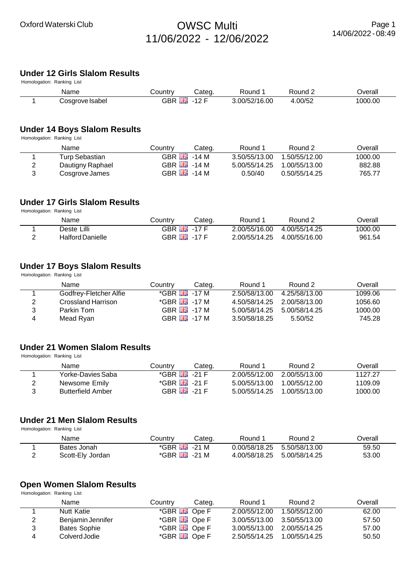# **Under 12 Girls Slalom Results**

| Homologation: Ranking List |                 |         |         |               |         |         |  |  |  |
|----------------------------|-----------------|---------|---------|---------------|---------|---------|--|--|--|
|                            | Name            | こountry | Cateɑ.  | Round         | Round ∠ | Overall |  |  |  |
|                            | Cosgrove Isabel | GBR HH  | $-12$ F | 3.00/52/16.00 | 4.00/52 | 1000.00 |  |  |  |

### **Under 14 Boys Slalom Results**

Homologation: Ranking List

| Name             | Countrv                   | Categ. | Round 1       | Round 2       | Overall |
|------------------|---------------------------|--------|---------------|---------------|---------|
| Turp Sebastian   | GBR $\frac{12}{20}$ -14 M |        | 3.50/55/13.00 | 1.50/55/12.00 | 1000.00 |
| Dautigny Raphael | GBR $\frac{12}{10}$ -14 M |        | 5.00/55/14.25 | 1.00/55/13.00 | 882.88  |
| Cosgrove James   | GBR $\frac{12}{10}$ -14 M |        | 0.50/40       | 0.50/55/14.25 | 765.77  |

#### **Under 17 Girls Slalom Results**

Homologation: Ranking List

| Name                    | Country                     | Categ. | Round 1       | Round 2                     | ⊃verall |
|-------------------------|-----------------------------|--------|---------------|-----------------------------|---------|
| Deste Lilli             | GBR $\frac{12}{100}$ -17 F  |        | 2.00/55/16.00 | 4.00/55/14.25               | 1000.00 |
| <b>Halford Danielle</b> | GBR $\frac{812}{100}$ -17 F |        |               | 2.00/55/14.25 4.00/55/16.00 | 961.54  |

# **Under 17 Boys Slalom Results**

Homologation: Ranking List

|   | Name                   | Country                     | Categ. | Round 1                     | Round 2       | Overall |
|---|------------------------|-----------------------------|--------|-----------------------------|---------------|---------|
|   | Godfrey-Fletcher Alfie | *GBR <del>闘 -</del> 17 M    |        | 2.50/58/13.00               | 4.25/58/13.00 | 1099.06 |
| 2 | Crossland Harrison     |                             |        | 4.50/58/14.25 2.00/58/13.00 |               | 1056.60 |
| 3 | Parkin Tom             | GBR $\frac{8.4}{100}$ -17 M |        | 5.00/58/14.25               | 5.00/58/14.25 | 1000.00 |
| 4 | Mead Ryan              | GBR $\frac{8.4}{100}$ -17 M |        | 3.50/58/18.25               | 5.50/52       | 745.28  |

### **Under 21 Women Slalom Results**

Homologation: Ranking List

|    | Name                     | Country                          | Categ. | Round 1       | Round 2       | Overall |
|----|--------------------------|----------------------------------|--------|---------------|---------------|---------|
|    | Yorke-Davies Saba        | $*$ GBR $\frac{100}{100}$ -21 F  |        | 2.00/55/12.00 | 2.00/55/13.00 | 1127.27 |
|    | Newsome Emily            | $*$ GBR $\frac{100}{1000}$ -21 F |        | 5.00/55/13.00 | 1.00/55/12.00 | 1109.09 |
| -3 | <b>Butterfield Amber</b> | GBR $\frac{12}{20}$ - 21 F       |        | 5.00/55/14.25 | 1.00/55/13.00 | 1000.00 |

### **Under 21 Men Slalom Results**

Homologation: Ranking List

| Name             | Countrv                         | Cateɑ. | Round 1                     | Round 2                     | Overall |
|------------------|---------------------------------|--------|-----------------------------|-----------------------------|---------|
| Bates Jonah      | $*$ GBR $\frac{12}{10}$ - 21 M  |        |                             | 0.00/58/18.25 5.50/58/13.00 | 59.50   |
| Scott-Ely Jordan | $*$ GBR $\frac{125}{100}$ -21 M |        | 4.00/58/18.25 5.00/58/14.25 |                             | 53.00   |

## **Open Women Slalom Results**

Homologation: Ranking List

|   | Name                | Country              | Categ. | Round 1                     | Round 2       | Overall |
|---|---------------------|----------------------|--------|-----------------------------|---------------|---------|
|   | <b>Nutt Katie</b>   | *GBR <b>He</b> Ope F |        | 2.00/55/12.00               | 1.50/55/12.00 | 62.00   |
| 2 | Benjamin Jennifer   | *GBR <b>He</b> Ope F |        | 3.00/55/13.00 3.50/55/13.00 |               | 57.50   |
| 3 | <b>Bates Sophie</b> | *GBR <b>He</b> Ope F |        | 3.00/55/13.00 2.00/55/14.25 |               | 57.00   |
| 4 | Colverd Jodie       | *GBR <b>He</b> Ope F |        | 2.50/55/14.25 1.00/55/14.25 |               | 50.50   |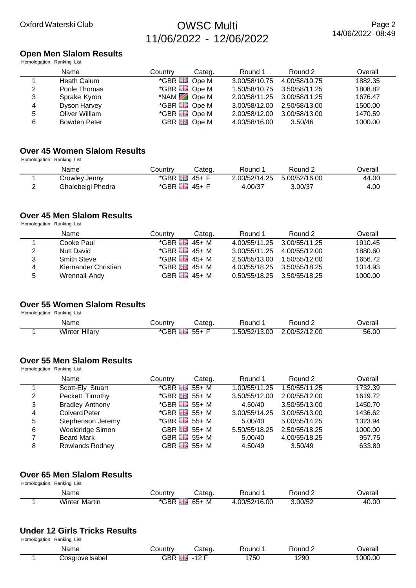#### **Open Men Slalom Results** Homologation: Ranking List

| Name                | Country | Categ. | Round 1                                                                                                                                      | Round 2       | Overall                                                    |
|---------------------|---------|--------|----------------------------------------------------------------------------------------------------------------------------------------------|---------------|------------------------------------------------------------|
| Heath Calum         |         |        | 3.00/58/10.75                                                                                                                                | 4.00/58/10.75 | 1882.35                                                    |
| Poole Thomas        |         |        |                                                                                                                                              |               | 1808.82                                                    |
| Sprake Kyron        |         |        |                                                                                                                                              |               | 1676.47                                                    |
| Dyson Harvey        |         |        | 3.00/58/12.00                                                                                                                                | 2.50/58/13.00 | 1500.00                                                    |
| Oliver William      |         |        | 2.00/58/12.00                                                                                                                                | 3.00/58/13.00 | 1470.59                                                    |
| <b>Bowden Peter</b> |         |        | 4.00/58/16.00                                                                                                                                | 3.50/46       | 1000.00                                                    |
|                     |         |        | *GBR <b>EH</b> Ope M<br>*GBR <b>He</b> Ope M<br>*NAM 2 Ope M<br>$*$ GBR $\frac{12}{100}$ Ope M<br>*GBR <b>He</b> Ope M<br>GBR <b>H</b> Ope M |               | 1.50/58/10.75 3.50/58/11.25<br>2.00/58/11.25 3.00/58/11.25 |

# **Over 45 Women Slalom Results**

Homologation: Ranking List

| Name              | Country                        | Cateɑ.  | Round 1                     | Round 2 | ⊃verall |
|-------------------|--------------------------------|---------|-----------------------------|---------|---------|
| Crowley Jenny     | $*$ GBR                        | , 45+ F | 2.00/52/14.25 5.00/52/16.00 |         | 44.00   |
| Ghalebeigi Phedra | $*$ GBR $\frac{12}{100}$ 45+ F |         | 4.00/37                     | 3.00/37 | 4.00    |

# **Over 45 Men Slalom Results**

Homologation: Ranking List

|    | Name                 | Country                        | Categ.                         | Round 1                     | Round 2       | Overall |
|----|----------------------|--------------------------------|--------------------------------|-----------------------------|---------------|---------|
|    | Cooke Paul           | $*$ GBR $\frac{12}{12}$ 45+ M  |                                | 4.00/55/11.25 3.00/55/11.25 |               | 1910.45 |
|    | <b>Nutt David</b>    | $*$ GBR $\frac{12}{100}$ 45+ M |                                | 3.00/55/11.25               | 4.00/55/12.00 | 1880.60 |
| 3  | <b>Smith Steve</b>   | $*$ GBR $\frac{12}{100}$ 45+ M |                                | 2.50/55/13.00               | 1.50/55/12.00 | 1656.72 |
| 4  | Kiernander Christian | $*$ GBR $\frac{12}{100}$ 45+ M |                                | 4.00/55/18.25 3.50/55/18.25 |               | 1014.93 |
| -5 | Wrennall Andy        |                                | GBR $\frac{81.4}{10.45}$ 45+ M | 0.50/55/18.25 3.50/55/18.25 |               | 1000.00 |

### **Over 55 Women Slalom Results**

Homologation: Ranking List

| Name                  | ⊃ountr∨     | ;ateα     | Round              | ₹ound         | ס∨erall |
|-----------------------|-------------|-----------|--------------------|---------------|---------|
| .<br>Winter<br>Hılary | *GRR<br>3 R | 551<br>ັບ | 13.00<br>.50/52/13 | 2.00/52/12.00 | 56.00   |

# **Over 55 Men Slalom Results**

Homologation: Ranking List

|   | Name                   | Country | Categ.                         | Round 1       | Round 2       | Overall |
|---|------------------------|---------|--------------------------------|---------------|---------------|---------|
|   | Scott-Ely Stuart       |         | $*$ GBR $\frac{12}{200}$ 55+ M | 1.00/55/11.25 | 1.50/55/11.25 | 1732.39 |
| 2 | Peckett Timothy        |         | $*$ GBR $\frac{12}{212}$ 55+ M | 3.50/55/12.00 | 2.00/55/12.00 | 1619.72 |
| 3 | <b>Bradley Anthony</b> |         | $*$ GBR $\frac{12}{100}$ 55+ M | 4.50/40       | 3.50/55/13.00 | 1450.70 |
| 4 | <b>Colverd Peter</b>   |         | $*$ GBR $\frac{12}{100}$ 55+ M | 3.00/55/14.25 | 3.00/55/13.00 | 1436.62 |
| 5 | Stephenson Jeremy      |         | $*$ GBR $\frac{12}{24}$ 55+ M  | 5.00/40       | 5.00/55/14.25 | 1323.94 |
| 6 | Wooldridge Simon       |         | GBR $\frac{12}{10}$ 55+ M      | 5.50/55/18.25 | 2.50/55/18.25 | 1000.00 |
|   | <b>Beard Mark</b>      |         | GBR $\frac{12}{12}$ 55+ M      | 5.00/40       | 4.00/55/18.25 | 957.75  |
| 8 | <b>Rowlands Rodney</b> |         | GBR $\frac{12}{100}$ 55+ M     | 4.50/49       | 3.50/49       | 633.80  |

#### **Over 65 Men Slalom Results** Homologation: Ranking List

| .                    |                      |            |              |              |         |
|----------------------|----------------------|------------|--------------|--------------|---------|
| Name                 | ountr∨ب              | Cateɑ.     | ₹ound        | Round $\sim$ | Overall |
| <b>Winter Martin</b> | *GBR<br><b>24 AV</b> | $65+$<br>M | .00/52/16.00 | 3.00/52      | 40.00   |

#### **Under 12 Girls Tricks Results** Homologation: Ranking List

| rioniologation: rtailiting Elot |                       |                      |       |         |         |
|---------------------------------|-----------------------|----------------------|-------|---------|---------|
| Name                            | こountry               | Cated                | ound: | रound 2 | Jverall |
| Cosgrove Isabel                 | GBR<br><b>Part of</b> | $\sqrt{2}$<br>$\sim$ | 750   | 1290    | 1000.00 |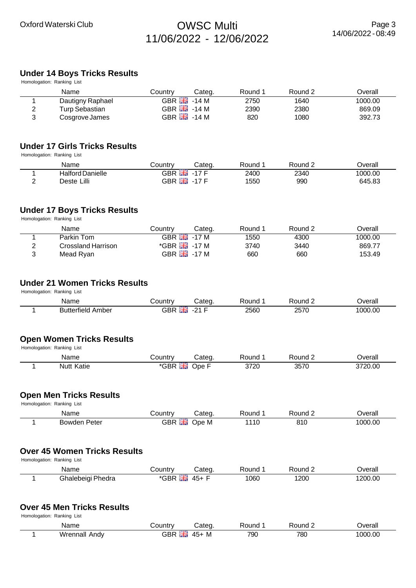#### **Under 14 Boys Tricks Results**  $Homoloation: Ranking List$

|   | HUITIUIUU AIUTTI. KAITKIITU LISL |         |                            |         |         |         |
|---|----------------------------------|---------|----------------------------|---------|---------|---------|
|   | Name                             | Countrv | Cateɑ.                     | Round 1 | Round 2 | Overall |
|   | Dautigny Raphael                 |         | GBR $\frac{12}{100}$ -14 M | 2750    | 1640    | 1000.00 |
| 2 | Turp Sebastian                   |         | GBR $\frac{12}{10}$ -14 M  | 2390    | 2380    | 869.09  |
| 2 | Cosgrove James                   |         | GBR $\frac{12}{10}$ -14 M  | 820     | 1080    | 392.73  |

### **Under 17 Girls Tricks Results**

Homologation: Ranking List

| Name                    | こountry       | Categ. | Round | रound | Jverall |
|-------------------------|---------------|--------|-------|-------|---------|
| <b>Halford Danielle</b> | GBR <b>Ha</b> | .17 F  | 2400  | 2340  | 1000.00 |
| Deste Lilli             | GBR           | -17 F  | 1550  | 990   | 645.83  |

#### **Under 17 Boys Tricks Results**

Homologation: Ranking List

| Name               | Countrv | Cateɑ.                          | Round 1 | Round 2 | つverall |
|--------------------|---------|---------------------------------|---------|---------|---------|
| Parkin Tom         |         | GBR $\frac{84}{100}$ -17 M      | 1550    | 4300    | 1000.00 |
| Crossland Harrison |         | $*$ GBR $\frac{125}{100}$ -17 M | 3740    | 3440    | 869.77  |
| Mead Ryan          |         | GBR $\frac{12}{100}$ -17 M      | 660     | 660     | 153.49  |

### **Under 21 Women Tricks Results**

Homologation: Ranking List

| Name                                               | ountr∨ٽ<br>$\sim$ | Cated | Round | Round                        | Jverall |
|----------------------------------------------------|-------------------|-------|-------|------------------------------|---------|
| <b>Butterfield</b><br><b>\mber</b><br>$\mathbf{U}$ | ---<br>∩nn<br>Dľ  | ີ     | 2560  | $\sim$ $\sim$ $\sim$<br>257V | 1000.00 |

#### **Open Women Tricks Results**

Homologation: Ranking List

| Name          | ountrٽ   | ateo | ⊀ound | Round                  | ∪eral<br>___ |
|---------------|----------|------|-------|------------------------|--------------|
| Nutt<br>vatie | ___<br>- | )ne  | 3720  | 3570<br>ט ו ט<br>_____ | 3720.00      |

#### **Open Men Tricks Results**

Homologation: Ranking List

| Name            | ountr∨ب    | Cateq. | Round | Round | ⊃verall |
|-----------------|------------|--------|-------|-------|---------|
| Peter<br>Bowden | GBR<br>417 | Ope M  | 110   | 810   | 1000.00 |

# **Over 45 Women Tricks Results**

Homologation: Ranking List

| Name                 | <b>⊜ountr</b> ∨                   | شateα.   | Round | Round 2 | ∪erall  |
|----------------------|-----------------------------------|----------|-------|---------|---------|
| Phedra<br>Ghalebeigi | --<br><b>GBR</b><br><b>ALL OF</b> | -<br>45+ | 1060  | 1200    | 1200.00 |

## **Over 45 Men Tricks Results**

Homologation: Ranking List

| Name             | ∶ountr∖<br>l M           | Cateq      | ound: | ound? | Jverall |
|------------------|--------------------------|------------|-------|-------|---------|
| Wrennall<br>Andv | ---<br>חחי<br>不尽<br>.75F | . M<br>-45 | 790   | 780   | 1000.00 |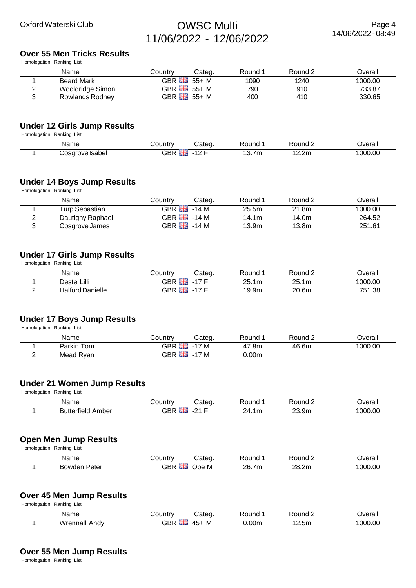# **Over 55 Men Tricks Results**

Homologation: Ranking List

|   | Name              | Countrv | Cateɑ.                    | Round 1 | Round 2 | ⊃verall |
|---|-------------------|---------|---------------------------|---------|---------|---------|
|   | <b>Beard Mark</b> |         | GBR $\frac{12}{18}$ 55+ M | 1090    | 1240    | 1000.00 |
| ⌒ | Wooldridge Simon  |         | GBR $\frac{12}{16}$ 55+ M | 790     | 910     | 733.87  |
| າ | Rowlands Rodney   |         | GBR $\frac{12}{10}$ 55+ M | 400     | 410     | 330.65  |

## **Under 12 Girls Jump Results**

Homologation: Ranking List

| Name            | Country    | Categ.                    | Round | Round $\sim$ | <b>Dverall</b> |
|-----------------|------------|---------------------------|-------|--------------|----------------|
| Cosarove Isabel | <b>GBR</b> | $\Lambda$ $\cap$ $\Gamma$ | 13.7m | 12.2m        | 1000.00        |

### **Under 14 Boys Jump Results**

Homologation: Ranking List

|   | Name             | Country | Categ.                       | Round 1 | Round 2 | Overall |
|---|------------------|---------|------------------------------|---------|---------|---------|
|   | Turp Sebastian   |         | GBR $\frac{84}{100}$ -14 M   | 25.5m   | 21.8m   | 1000.00 |
| 2 | Dautigny Raphael |         | GBR $\frac{812}{100}$ - 14 M | 14.1m   | 14.0m   | 264.52  |
|   | Cosgrove James   |         | GBR $\frac{812}{100}$ - 14 M | 13.9m   | 13.8m   | 251.61  |

#### **Under 17 Girls Jump Results**

Homologation: Ranking List

|   | Name             | こountry          | Categ.  | Round | Round $\epsilon$ | ⊃verall |
|---|------------------|------------------|---------|-------|------------------|---------|
|   | Deste Lilli      | <b>GBR HE</b>    | $-17$ F | 25.1m | 25.1m            | 1000.00 |
| - | Halford Danielle | GBR <del>品</del> | $-17F$  | 19.9m | 20.6m            | 751.38  |

### **Under 17 Boys Jump Results**

Homologation: Ranking List

|          | Name       | Country       | Categ.                     | Round | Round 2 | Dverall |
|----------|------------|---------------|----------------------------|-------|---------|---------|
|          | Parkin Tom | GBR <b>Ha</b> | -17 M                      | 47.8m | 46.6m   | 1000.00 |
| <u>_</u> | Mead Ryan  |               | GBR $\frac{12}{100}$ -17 M | 0.00m |         |         |

#### **Under 21 Women Jump Results**

Homologation: Ranking List

| Name                                  | הווחות.<br>าเ<br>. |     | `ouno∶   | יחו וחי           | )vera<br>Uldi   |
|---------------------------------------|--------------------|-----|----------|-------------------|-----------------|
| $  -$<br>.<br>าpeı<br>101<br>nı.<br>. | ּי<br>.            | . . | 17<br>1m | $\sim$<br>$\cdot$ | i nnr<br>$\sim$ |

#### **Open Men Jump Results**

Homologation: Ranking List

| Name            | ∟ountr∨            | Cated    | ⊀ound               | <b>Round</b> | Jverall |
|-----------------|--------------------|----------|---------------------|--------------|---------|
| Peter<br>Bowden | GBR<br><b>24 A</b> | )ne<br>M | 26.7<br>7m<br>_____ | າຂ<br>28.2m  | 1000.00 |

#### **Over 45 Men Jump Results**

Homologation: Ranking List

| Name                 | ∟ountr∨ت            | ;ateα           | ⊀ound | 'ound | <b>T</b> |
|----------------------|---------------------|-----------------|-------|-------|----------|
| <b>Wrennall Andy</b> | GBR<br><b>24 AV</b> | M<br>$-$<br>45- | ).00m | .2.5m | 000.00   |

#### **Over 55 Men Jump Results**

Homologation: Ranking List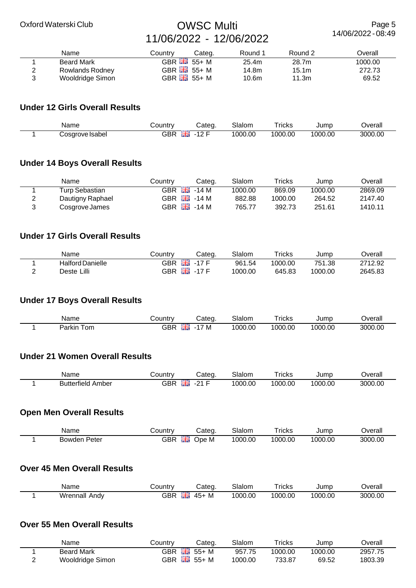Page 5 14/06/2022 - 08:49

|   | Name                   | Countrv | Cateɑ.                     | Round 1 | Round 2 | Overall |
|---|------------------------|---------|----------------------------|---------|---------|---------|
|   | <b>Beard Mark</b>      |         | GBR $\frac{12}{200}$ 55+ M | 25.4m   | 28.7m   | 1000.00 |
| ◠ | <b>Rowlands Rodney</b> |         | GBR $\frac{12}{10}$ 55+ M  | 14.8m   | 15.1m   | 272.73  |
| 2 | Wooldridge Simon       |         | GBR $\frac{12}{10}$ 55+ M  | 10.6m   | 11.3m   | 69.52   |

# **Under 12 Girls Overall Results**

| Name            | ∶ountrv | ;ateɑ  | ialomد | ricks   | Jump    | )verall |
|-----------------|---------|--------|--------|---------|---------|---------|
| `osarove Isabeï | GBR     | $\sim$ | 000.00 | 1000.00 | 1000.00 | 3000.00 |

# **Under 14 Boys Overall Results**

| Name             | Countrv | Categ.                      | Slalom  | Tricks  | Jump    | ⊃verall |
|------------------|---------|-----------------------------|---------|---------|---------|---------|
| Turp Sebastian   |         | GBR $\frac{12}{100}$ -14 M  | 1000.00 | 869.09  | 1000.00 | 2869.09 |
| Dautigny Raphael |         | GBR $\frac{12}{100}$ - 14 M | 882.88  | 1000.00 | 264.52  | 2147.40 |
| Cosgrove James   |         | GBR $\frac{12}{100}$ - 14 M | 765.77  | 392.73  | 251.61  | 1410.11 |

## **Under 17 Girls Overall Results**

| Name                    | Country | Categ        | Slalom  | $\mathsf{r}_\mathsf{rickS}$ | Jump    | Jverall |
|-------------------------|---------|--------------|---------|-----------------------------|---------|---------|
| <b>Halford Danielle</b> | GBR     | 等層<br>$-17F$ | 961.54  | 1000.00                     | 751.38  | 2712.92 |
| Deste Lilli             | GBR     | 開開<br>$-17F$ | 1000.00 | 645.83                      | 1000.00 | 2645.83 |

# **Under 17 Boys Overall Results**

| Name              | ∟ountr∨ | ;ateq                                      | Slalom  | ricks   | Jump    | Jverall |
|-------------------|---------|--------------------------------------------|---------|---------|---------|---------|
| –<br>om<br>Parkın | GBR     | --<br>$\overline{\phantom{a}}$<br><b>M</b> | 1000.00 | 1000.00 | 1000.00 | 3000.00 |

## **Under 21 Women Overall Results**

| Name                 | شountr∨          | Cateα   | Slalom | -<br><b>Ticks</b> | Jump    | <b>T</b> |
|----------------------|------------------|---------|--------|-------------------|---------|----------|
| Amber<br>Butterfield | $\sim$ pr<br>JBM | --<br>ົ | 000.00 | 1000.00           | 1000.00 | 3000.00  |

# **Open Men Overall Results**

| Name         | ountryٽ         | Cated | Slalom  | $\mathsf{r}_{\mathsf{ricks}}$ | Jump    | <b>Dverall</b> |
|--------------|-----------------|-------|---------|-------------------------------|---------|----------------|
| Bowden Peter | --<br>GBR<br>黃芪 | Ope M | 1000.00 | 1000.00                       | 1000.00 | 3000.00        |

### **Over 45 Men Overall Results**

| Name             | こountrv    | ∵ateq                    | $\sim$<br>3lalom | - -<br><b>ricks</b> | Jump    | Overall |
|------------------|------------|--------------------------|------------------|---------------------|---------|---------|
| Wrennall<br>Andv | opp<br>JBR | ---<br><b>IVI</b><br>454 | 1000.00          | 1000.00             | 1000.00 | 3000.00 |

# **Over 55 Men Overall Results**

| Name              | こountrv          | Categ. | Slalom  | $r$ ricks | Jump    | ⊃verall |
|-------------------|------------------|--------|---------|-----------|---------|---------|
| <b>Beard Mark</b> | 을<br>GBR         | $55+M$ | 957.75  | 1000.00   | 1000.00 | 2957.75 |
| Wooldridge Simon  | 쯹종<br><b>GBR</b> | 55+ M  | 1000.00 | 733.87    | 69.52   | 1803.39 |